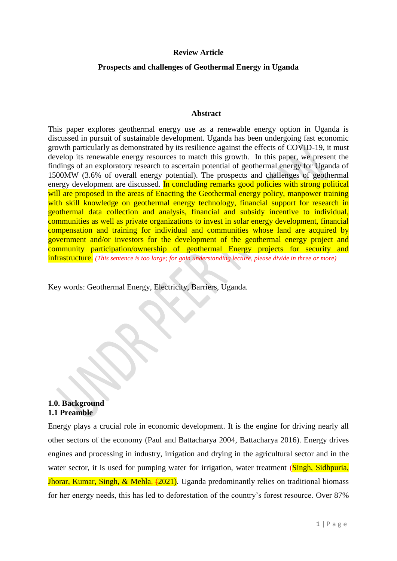### **Review Article**

### **Prospects and challenges of Geothermal Energy in Uganda**

#### **Abstract**

This paper explores geothermal energy use as a renewable energy option in Uganda is discussed in pursuit of sustainable development. Uganda has been undergoing fast economic growth particularly as demonstrated by its resilience against the effects of COVID-19, it must develop its renewable energy resources to match this growth. In this paper, we present the findings of an exploratory research to ascertain potential of geothermal energy for Uganda of 1500MW (3.6% of overall energy potential). The prospects and challenges of geothermal energy development are discussed. In concluding remarks good policies with strong political will are proposed in the areas of Enacting the Geothermal energy policy, manpower training with skill knowledge on geothermal energy technology, financial support for research in geothermal data collection and analysis, financial and subsidy incentive to individual, communities as well as private organizations to invest in solar energy development, financial compensation and training for individual and communities whose land are acquired by government and/or investors for the development of the geothermal energy project and community participation/ownership of geothermal Energy projects for security and infrastructure. *(This sentence is too large; for gain understanding lecture, please divide in three or more)* 

Key words: Geothermal Energy, Electricity, Barriers, Uganda.

### **1.0. Background 1.1 Preamble**

Energy plays a crucial role in economic development. It is the engine for driving nearly all other sectors of the economy (Paul and Battacharya 2004, Battacharya 2016). Energy drives engines and processing in industry, irrigation and drying in the agricultural sector and in the water sector, it is used for pumping water for irrigation, water treatment (Singh, Sidhpuria, **Jhorar, Kumar, Singh, & Mehla, (2021)**. Uganda predominantly relies on traditional biomass for her energy needs, this has led to deforestation of the country's forest resource. Over 87%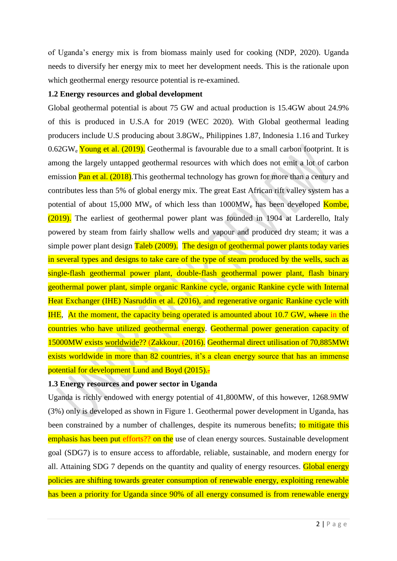of Uganda's energy mix is from biomass mainly used for cooking (NDP, 2020). Uganda needs to diversify her energy mix to meet her development needs. This is the rationale upon which geothermal energy resource potential is re-examined.

### **1.2 Energy resources and global development**

Global geothermal potential is about 75 GW and actual production is 15.4GW about 24.9% of this is produced in U.S.A for 2019 (WEC 2020). With Global geothermal leading producers include U.S producing about 3.8GWe, Philippines 1.87, Indonesia 1.16 and Turkey  $0.62$ GW<sub>e</sub> Young et al. (2019). Geothermal is favourable due to a small carbon footprint. It is among the largely untapped geothermal resources with which does not emit a lot of carbon emission **Pan et al.** (2018). This geothermal technology has grown for more than a century and contributes less than 5% of global energy mix. The great East African rift valley system has a potential of about 15,000 MW<sub>e</sub> of which less than  $1000MW_e$  has been developed Kombe, (2019). The earliest of geothermal power plant was founded in 1904 at Larderello, Italy powered by steam from fairly shallow wells and vapour and produced dry steam; it was a simple power plant design Taleb (2009). The design of geothermal power plants today varies in several types and designs to take care of the type of steam produced by the wells, such as single-flash geothermal power plant, double-flash geothermal power plant, flash binary geothermal power plant, simple organic Rankine cycle, organic Rankine cycle with Internal Heat Exchanger (IHE) Nasruddin et al. (2016), and regenerative organic Rankine cycle with IHE, At the moment, the capacity being operated is amounted about 10.7 GW, where in the countries who have utilized geothermal energy. Geothermal power generation capacity of 15000MW exists worldwide?? (Zakkour, (2016). Geothermal direct utilisation of 70,885MWt exists worldwide in more than 82 countries, it's a clean energy source that has an immense potential for development Lund and Boyd (2015).

## **1.3 Energy resources and power sector in Uganda**

Uganda is richly endowed with energy potential of 41,800MW, of this however, 1268.9MW (3%) only is developed as shown in Figure 1. Geothermal power development in Uganda, has been constrained by a number of challenges, despite its numerous benefits; to mitigate this emphasis has been put efforts?? on the use of clean energy sources. Sustainable development goal (SDG7) is to ensure access to affordable, reliable, sustainable, and modern energy for all. Attaining SDG 7 depends on the quantity and quality of energy resources. Global energy policies are shifting towards greater consumption of renewable energy, exploiting renewable has been a priority for Uganda since 90% of all energy consumed is from renewable energy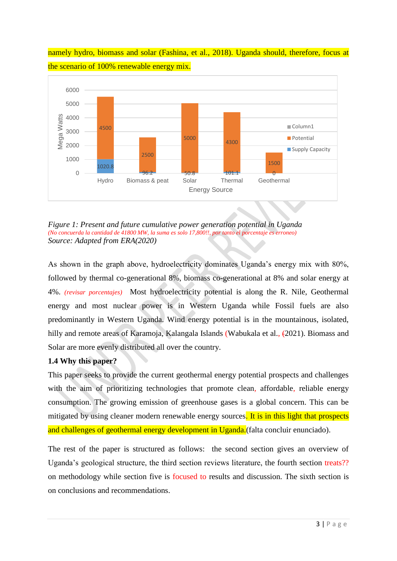namely hydro, biomass and solar (Fashina, et al., 2018). Uganda should, therefore, focus at the scenario of 100% renewable energy mix.



*Figure 1: Present and future cumulative power generation potential in Uganda (No concuerda la cantidad de 41800 MW, la suma es solo 17,800!!, por tanto el porcentaje es erroneo) Source: Adapted from ERA(2020)*

As shown in the graph above, hydroelectricity dominates Uganda's energy mix with 80%, followed by thermal co-generational 8%, biomass co-generational at 8% and solar energy at 4%. *(revisar porcentajes)* Most hydroelectricity potential is along the R. Nile, Geothermal energy and most nuclear power is in Western Uganda while Fossil fuels are also predominantly in Western Uganda. Wind energy potential is in the mountainous, isolated, hilly and remote areas of Karamoja, Kalangala Islands (Wabukala et al.,  $(2021)$ . Biomass and Solar are more evenly distributed all over the country.

# **1.4 Why this paper?**

This paper seeks to provide the current geothermal energy potential prospects and challenges with the aim of prioritizing technologies that promote clean, affordable, reliable energy consumption. The growing emission of greenhouse gases is a global concern. This can be mitigated by using cleaner modern renewable energy sources. It is in this light that prospects and challenges of geothermal energy development in Uganda.(falta concluir enunciado).

The rest of the paper is structured as follows: the second section gives an overview of Uganda's geological structure, the third section reviews literature, the fourth section treats?? on methodology while section five is focused to results and discussion. The sixth section is on conclusions and recommendations.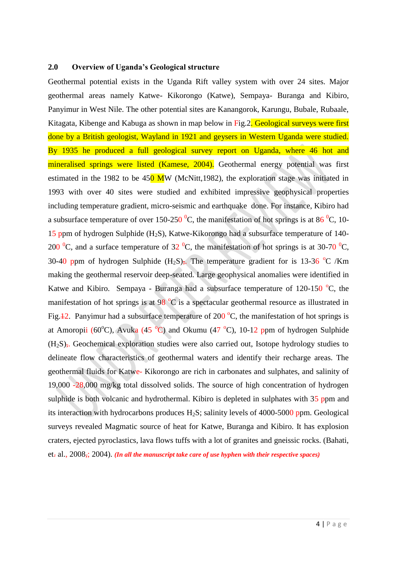#### **2.0 Overview of Uganda's Geological structure**

Geothermal potential exists in the Uganda Rift valley system with over 24 sites. Major geothermal areas namely Katwe- Kikorongo (Katwe), Sempaya- Buranga and Kibiro, Panyimur in West Nile. The other potential sites are Kanangorok, Karungu, Bubale, Rubaale, Kitagata, Kibenge and Kabuga as shown in map below in Fig. 2. Geological surveys were first done by a British geologist, Wayland in 1921 and geysers in Western Uganda were studied. By 1935 he produced a full geological survey report on Uganda, where 46 hot and mineralised springs were listed (Kamese, 2004). Geothermal energy potential was first estimated in the 1982 to be  $450$  MW (McNitt, 1982), the exploration stage was initiated in 1993 with over 40 sites were studied and exhibited impressive geophysical properties including temperature gradient, micro-seismic and earthquake done. For instance, Kibiro had a subsurface temperature of over 150-250  $^{0}C$ , the manifestation of hot springs is at 86  $^{0}C$ , 10-15 ppm of hydrogen Sulphide  $(H_2S)$ , Katwe-Kikorongo had a subsurface temperature of 140-200 <sup>o</sup>C, and a surface temperature of 32 <sup>o</sup>C, the manifestation of hot springs is at 30-70 <sup>o</sup>C, 30-40 ppm of hydrogen Sulphide  $(H_2S)$ , The temperature gradient for is 13-36 °C /Km making the geothermal reservoir deep-seated. Large geophysical anomalies were identified in Katwe and Kibiro. Sempaya - Buranga had a subsurface temperature of  $120-150$  °C, the manifestation of hot springs is at  $98\text{ °C}$  is a spectacular geothermal resource as illustrated in Fig.  $\pm$ 2. Panyimur had a subsurface temperature of 200 °C, the manifestation of hot springs is at Amoropii (60 $^{\circ}$ C), Avuka (45 $^{\circ}$ C) and Okumu (47 $^{\circ}$ C), 10-12 ppm of hydrogen Sulphide  $(H<sub>2</sub>S)$ ,. Geochemical exploration studies were also carried out, Isotope hydrology studies to delineate flow characteristics of geothermal waters and identify their recharge areas. The geothermal fluids for Katwe- Kikorongo are rich in carbonates and sulphates, and salinity of 19,000 -28,000 mg/kg total dissolved solids. The source of high concentration of hydrogen sulphide is both volcanic and hydrothermal. Kibiro is depleted in sulphates with 35 ppm and its interaction with hydrocarbons produces  $H_2S$ ; salinity levels of 4000-5000 ppm. Geological surveys revealed Magmatic source of heat for Katwe, Buranga and Kibiro. It has explosion craters, ejected pyroclastics, lava flows tuffs with a lot of granites and gneissic rocks. (Bahati, et. al., 2008,; 2004). *(In all the manuscript take care of use hyphen with their respective spaces)*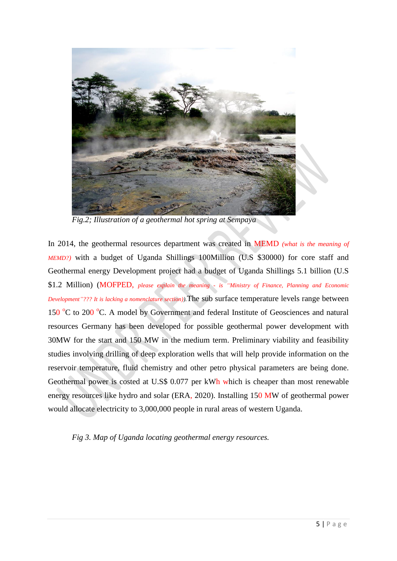

*Fig.2; Illustration of a geothermal hot spring at Sempaya*

In 2014, the geothermal resources department was created in MEMD *(what is the meaning of MEMD?)* with a budget of Uganda Shillings 100Million (U.S \$30000) for core staff and Geothermal energy Development project had a budget of Uganda Shillings 5.1 billion (U.S \$1.2 Million) (MOFPED, *please explain the meaning - is "Ministry of Finance, Planning and Economic Development"??? It is lacking a nomenclature section)).*The sub surface temperature levels range between 150 °C to 200 °C. A model by Government and federal Institute of Geosciences and natural resources Germany has been developed for possible geothermal power development with 30MW for the start and 150 MW in the medium term. Preliminary viability and feasibility studies involving drilling of deep exploration wells that will help provide information on the reservoir temperature, fluid chemistry and other petro physical parameters are being done. Geothermal power is costed at U.S\$ 0.077 per kWh which is cheaper than most renewable energy resources like hydro and solar (ERA, 2020). Installing 150 MW of geothermal power would allocate electricity to 3,000,000 people in rural areas of western Uganda.

*Fig 3. Map of Uganda locating geothermal energy resources.*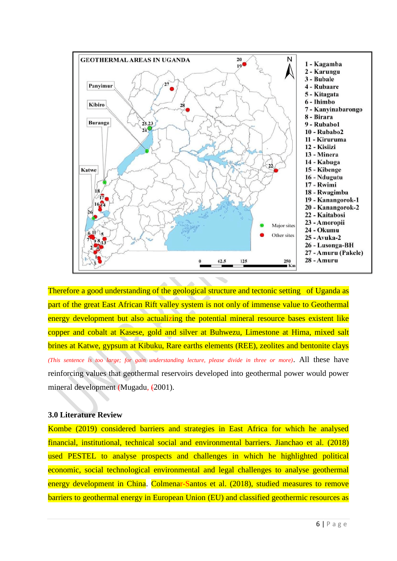

Therefore a good understanding of the geological structure and tectonic setting of Uganda as part of the great East African Rift valley system is not only of immense value to Geothermal energy development but also actualizing the potential mineral resource bases existent like copper and cobalt at Kasese, gold and silver at Buhwezu, Limestone at Hima, mixed salt brines at Katwe, gypsum at Kibuku, Rare earths elements (REE), zeolites and bentonite clays *(This sentence is too large; for gain understanding lecture, please divide in three or more)*. All these have reinforcing values that geothermal reservoirs developed into geothermal power would power mineral development (Mugadu,  $(2001)$ .

#### **3.0 Literature Review**

Kombe (2019) considered barriers and strategies in East Africa for which he analysed financial, institutional, technical social and environmental barriers. Jianchao et al. (2018) used PESTEL to analyse prospects and challenges in which he highlighted political economic, social technological environmental and legal challenges to analyse geothermal energy development in China. Colmenar-Santos et al. (2018), studied measures to remove barriers to geothermal energy in European Union (EU) and classified geothermic resources as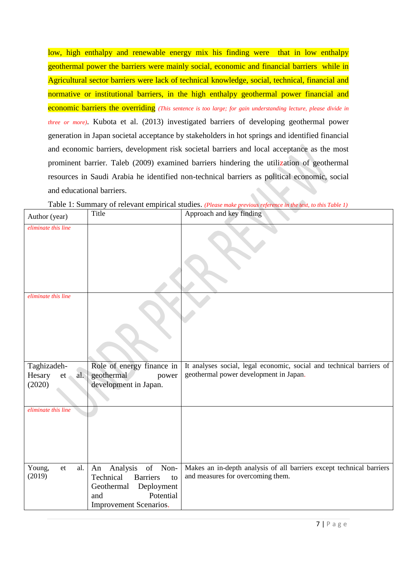low, high enthalpy and renewable energy mix his finding were that in low enthalpy geothermal power the barriers were mainly social, economic and financial barriers while in Agricultural sector barriers were lack of technical knowledge, social, technical, financial and normative or institutional barriers, in the high enthalpy geothermal power financial and economic barriers the overriding *(This sentence is too large; for gain understanding lecture, please divide in three or more)*. Kubota et al. (2013) investigated barriers of developing geothermal power generation in Japan societal acceptance by stakeholders in hot springs and identified financial and economic barriers, development risk societal barriers and local acceptance as the most prominent barrier. Taleb (2009) examined barriers hindering the utilization of geothermal resources in Saudi Arabia he identified non-technical barriers as political economic, social and educational barriers.

| Author (year)                                    | Title                                                                                                                                  | Approach and key finding                                                                                       |
|--------------------------------------------------|----------------------------------------------------------------------------------------------------------------------------------------|----------------------------------------------------------------------------------------------------------------|
| eliminate this line                              |                                                                                                                                        |                                                                                                                |
| eliminate this line                              |                                                                                                                                        |                                                                                                                |
| Taghizadeh-<br>Hesary<br>al.<br>$et -$<br>(2020) | Role of energy finance in<br>geothermal<br>power<br>development in Japan.                                                              | It analyses social, legal economic, social and technical barriers of<br>geothermal power development in Japan. |
| eliminate this line                              |                                                                                                                                        |                                                                                                                |
| Young,<br>et<br>al.<br>(2019)                    | Analysis of Non-<br>An<br><b>Barriers</b><br>Technical<br>to<br>Deployment<br>Geothermal<br>Potential<br>and<br>Improvement Scenarios. | Makes an in-depth analysis of all barriers except technical barriers<br>and measures for overcoming them.      |

Table 1: Summary of relevant empirical studies. *(Please make previous reference in the text, to this Table 1)*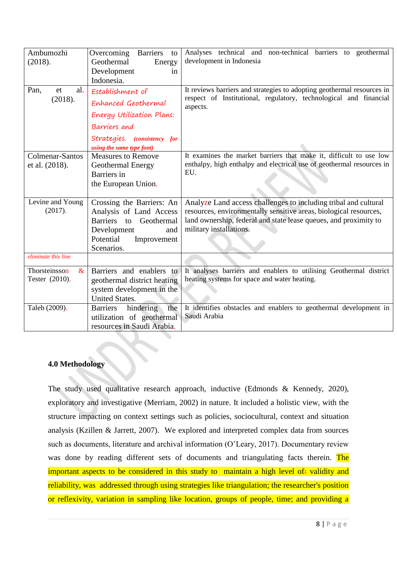| Ambumozhi<br>(2018).<br>Pan,<br>al.<br>et<br>(2018). | Overcoming Barriers to<br>Geothermal<br>Energy<br>Development<br>in<br>Indonesia.<br>Establishment of<br>Enhanced Geothermal<br>Energy Utilization Plans: | Analyses technical and non-technical barriers to geothermal<br>development in Indonesia<br>It reviews barriers and strategies to adopting geothermal resources in<br>respect of Institutional, regulatory, technological and financial<br>aspects. |
|------------------------------------------------------|-----------------------------------------------------------------------------------------------------------------------------------------------------------|----------------------------------------------------------------------------------------------------------------------------------------------------------------------------------------------------------------------------------------------------|
|                                                      | Barriers and<br>Strategies. (consistency for<br>using the same type font)                                                                                 |                                                                                                                                                                                                                                                    |
| Colmenar-Santos<br>et al. (2018).                    | <b>Measures to Remove</b><br>Geothermal Energy<br>Barriers in<br>the European Union.                                                                      | It examines the market barriers that make it, difficult to use low<br>enthalpy, high enthalpy and electrical use of geothermal resources in<br>EU.                                                                                                 |
| Levine and Young<br>(2017).                          | Crossing the Barriers: An<br>Analysis of Land Access<br>Barriers to Geothermal<br>Development<br>and<br>Potential<br>Improvement<br>Scenarios.            | Analyze Land access challenges to including tribal and cultural<br>resources, environmentally sensitive areas, biological resources,<br>land ownership, federal and state lease queues, and proximity to<br>military installations.                |
| eliminate this line                                  |                                                                                                                                                           |                                                                                                                                                                                                                                                    |
| Thorsteinsson<br>$\&$<br>Tester (2010).              | Barriers and enablers to<br>geothermal district heating<br>system development in the<br><b>United States.</b>                                             | It analyses barriers and enablers to utilising Geothermal district<br>heating systems for space and water heating.                                                                                                                                 |
| Taleb (2009).                                        | the<br>hindering<br><b>Barriers</b><br>utilization of geothermal<br>resources in Saudi Arabia.                                                            | It identifies obstacles and enablers to geothermal development in<br>Saudi Arabia                                                                                                                                                                  |

# **4.0 Methodology**

The study used qualitative research approach, inductive (Edmonds & Kennedy, 2020), exploratory and investigative (Merriam, 2002) in nature. It included a holistic view, with the structure impacting on context settings such as policies, sociocultural, context and situation analysis (Kzillen & Jarrett, 2007). We explored and interpreted complex data from sources such as documents, literature and archival information (O'Leary, 2017). Documentary review was done by reading different sets of documents and triangulating facts therein. The important aspects to be considered in this study to maintain a high level of: validity and reliability, was addressed through using strategies like triangulation; the researcher's position or reflexivity, variation in sampling like location, groups of people, time; and providing a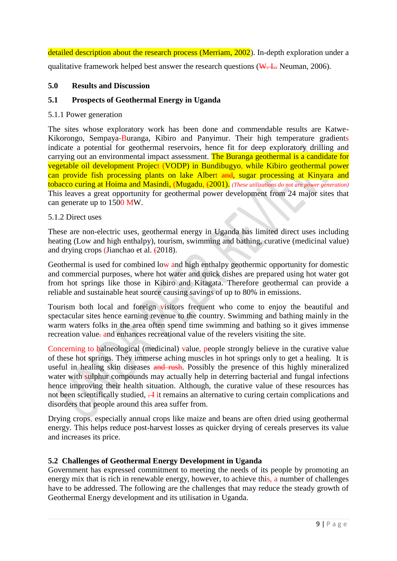detailed description about the research process (Merriam, 2002). In-depth exploration under a qualitative framework helped best answer the research questions  $(W, L, N$ euman, 2006).

# **5.0 Results and Discussion**

# **5.1 Prospects of Geothermal Energy in Uganda**

## 5.1.1 Power generation

The sites whose exploratory work has been done and commendable results are Katwe-Kikorongo, Sempaya-Buranga, Kibiro and Panyimur. Their high temperature gradients indicate a potential for geothermal reservoirs, hence fit for deep exploratory drilling and carrying out an environmental impact assessment. The Buranga geothermal is a candidate for vegetable oil development Project (VODP) in Bundibugyo, while Kibiro geothermal power can provide fish processing plants on lake Albert and, sugar processing at Kinyara and tobacco curing at Hoima and Masindi, (Mugadu, (2001). *(These utilizations do not are power generation)* This leaves a great opportunity for geothermal power development from 24 major sites that can generate up to 1500 MW.

### 5.1.2 Direct uses

These are non-electric uses, geothermal energy in Uganda has limited direct uses including heating (Low and high enthalpy), tourism, swimming and bathing, curative (medicinal value) and drying crops (Jianchao et al. (2018).

Geothermal is used for combined low and high enthalpy geothermic opportunity for domestic and commercial purposes, where hot water and quick dishes are prepared using hot water got from hot springs like those in Kibiro and Kitagata. Therefore geothermal can provide a reliable and sustainable heat source causing savings of up to 80% in emissions.

Tourism both local and foreign visitors frequent who come to enjoy the beautiful and spectacular sites hence earning revenue to the country. Swimming and bathing mainly in the warm waters folks in the area often spend time swimming and bathing so it gives immense recreation value, and enhances recreational value of the revelers visiting the site.

Concerning to balneological (medicinal) value, people strongly believe in the curative value of these hot springs. They immerse aching muscles in hot springs only to get a healing. It is useful in healing skin diseases and rush. Possibly the presence of this highly mineralized water with sulphur compounds may actually help in deterring bacterial and fungal infections hence improving their health situation. Although, the curative value of these resources has not been scientifically studied,  $\overline{A}$  it remains an alternative to curing certain complications and disorders that people around this area suffer from.

Drying crops, especially annual crops like maize and beans are often dried using geothermal energy. This helps reduce post-harvest losses as quicker drying of cereals preserves its value and increases its price.

## **5.2 Challenges of Geothermal Energy Development in Uganda**

Government has expressed commitment to meeting the needs of its people by promoting an energy mix that is rich in renewable energy, however, to achieve this, a number of challenges have to be addressed. The following are the challenges that may reduce the steady growth of Geothermal Energy development and its utilisation in Uganda.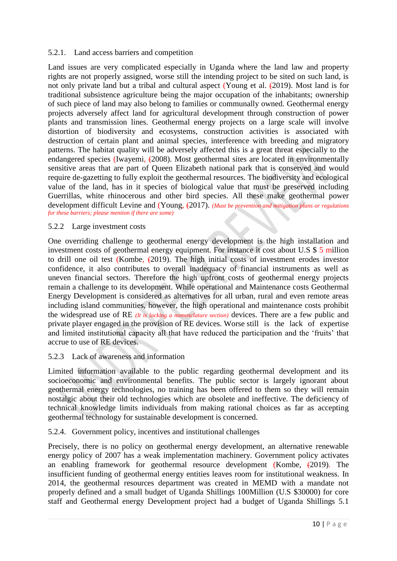### 5.2.1. Land access barriers and competition

Land issues are very complicated especially in Uganda where the land law and property rights are not properly assigned, worse still the intending project to be sited on such land, is not only private land but a tribal and cultural aspect (Young et al.  $(2019)$ ). Most land is for traditional subsistence agriculture being the major occupation of the inhabitants; ownership of such piece of land may also belong to families or communally owned. Geothermal energy projects adversely affect land for agricultural development through construction of power plants and transmission lines. Geothermal energy projects on a large scale will involve distortion of biodiversity and ecosystems, construction activities is associated with destruction of certain plant and animal species, interference with breeding and migratory patterns. The habitat quality will be adversely affected this is a great threat especially to the endangered species (Iwayemi, (2008). Most geothermal sites are located in environmentally sensitive areas that are part of Queen Elizabeth national park that is conserved and would require de-gazetting to fully exploit the geothermal resources. The biodiversity and ecological value of the land, has in it species of biological value that must be preserved including Guerrillas, white rhinocerous and other bird species. All these make geothermal power development difficult Levine and (Young,  $(2017)$ . *(Must be prevention and mitigation plans or regulations*) *for these barriers; please mention if there are some)*

### 5.2.2 Large investment costs

One overriding challenge to geothermal energy development is the high installation and investment costs of geothermal energy equipment. For instance it cost about U.S \$ 5 million to drill one oil test (Kombe,  $(2019)$ ). The high initial costs of investment erodes investor confidence, it also contributes to overall inadequacy of financial instruments as well as uneven financial sectors. Therefore the high upfront costs of geothermal energy projects remain a challenge to its development. While operational and Maintenance costs Geothermal Energy Development is considered as alternatives for all urban, rural and even remote areas including island communities, however, the high operational and maintenance costs prohibit the widespread use of RE *(It is lacking a nomenclature section)* devices. There are a few public and private player engaged in the provision of RE devices. Worse still is the lack of expertise and limited institutional capacity all that have reduced the participation and the 'fruits' that accrue to use of RE devices.

### 5.2.3 Lack of awareness and information

Limited information available to the public regarding geothermal development and its socioeconomic and environmental benefits. The public sector is largely ignorant about geothermal energy technologies, no training has been offered to them so they will remain nostalgic about their old technologies which are obsolete and ineffective. The deficiency of technical knowledge limits individuals from making rational choices as far as accepting geothermal technology for sustainable development is concerned.

### 5.2.4. Government policy, incentives and institutional challenges

Precisely, there is no policy on geothermal energy development, an alternative renewable energy policy of 2007 has a weak implementation machinery. Government policy activates an enabling framework for geothermal resource development (Kombe, (2019). The insufficient funding of geothermal energy entities leaves room for institutional weakness. In 2014, the geothermal resources department was created in MEMD with a mandate not properly defined and a small budget of Uganda Shillings 100Million (U.S \$30000) for core staff and Geothermal energy Development project had a budget of Uganda Shillings 5.1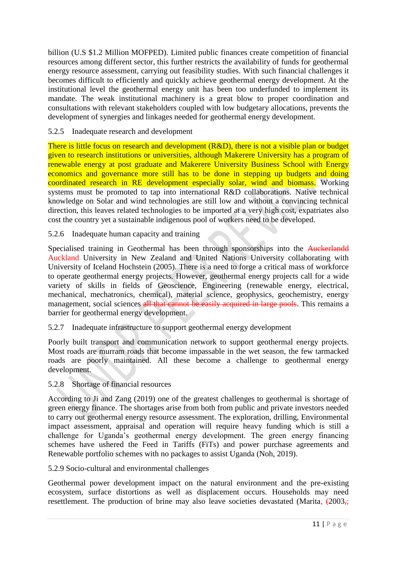billion (U.S \$1.2 Million MOFPED). Limited public finances create competition of financial resources among different sector, this further restricts the availability of funds for geothermal energy resource assessment, carrying out feasibility studies. With such financial challenges it becomes difficult to efficiently and quickly achieve geothermal energy development. At the institutional level the geothermal energy unit has been too underfunded to implement its mandate. The weak institutional machinery is a great blow to proper coordination and consultations with relevant stakeholders coupled with low budgetary allocations, prevents the development of synergies and linkages needed for geothermal energy development.

# 5.2.5 Inadequate research and development

There is little focus on research and development (R&D), there is not a visible plan or budget given to research institutions or universities, although Makerere University has a program of renewable energy at post graduate and Makerere University Business School with Energy economics and governance more still has to be done in stepping up budgets and doing coordinated research in RE development especially solar, wind and biomass. Working systems must be promoted to tap into international R&D collaborations. Native technical knowledge on Solar and wind technologies are still low and without a convincing technical direction, this leaves related technologies to be imported at a very high cost, expatriates also cost the country yet a sustainable indigenous pool of workers need to be developed.

# 5.2.6 Inadequate human capacity and training

Specialised training in Geothermal has been through sponsorships into the Auckerlandd Auckland University in New Zealand and United Nations University collaborating with University of Iceland Hochstein (2005). There is a need to forge a critical mass of workforce to operate geothermal energy projects. However, geothermal energy projects call for a wide variety of skills in fields of Geoscience, Engineering (renewable energy, electrical, mechanical, mechatronics, chemical), material science, geophysics, geochemistry, energy management, social sciences all that cannot be easily acquired in large pools. This remains a barrier for geothermal energy development.

## 5.2.7 Inadequate infrastructure to support geothermal energy development

Poorly built transport and communication network to support geothermal energy projects. Most roads are murram roads that become impassable in the wet season, the few tarmacked roads are poorly maintained. All these become a challenge to geothermal energy development.

# 5.2.8 Shortage of financial resources

According to Ji and Zang (2019) one of the greatest challenges to geothermal is shortage of green energy finance. The shortages arise from both from public and private investors needed to carry out geothermal energy resource assessment. The exploration, drilling, Environmental impact assessment, appraisal and operation will require heavy funding which is still a challenge for Uganda's geothermal energy development. The green energy financing schemes have ushered the Feed in Tariffs (FiTs) and power purchase agreements and Renewable portfolio schemes with no packages to assist Uganda (Noh, 2019).

## 5.2.9 Socio-cultural and environmental challenges

Geothermal power development impact on the natural environment and the pre-existing ecosystem, surface distortions as well as displacement occurs. Households may need resettlement. The production of brine may also leave societies devastated (Marita,  $\left(2003, \frac{1}{2}\right)$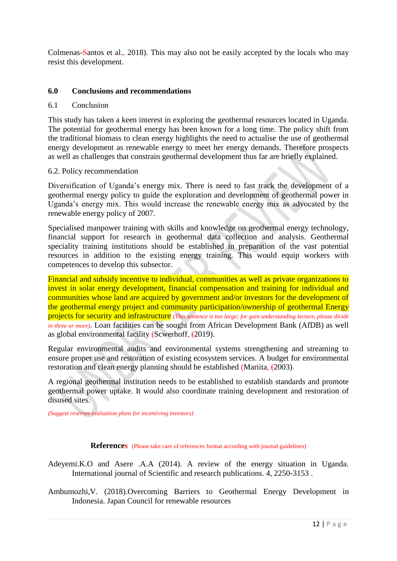Colmenas-Santos et al., 2018). This may also not be easily accepted by the locals who may resist this development.

### **6.0 Conclusions and recommendations**

#### 6.1 Conclusion

This study has taken a keen interest in exploring the geothermal resources located in Uganda. The potential for geothermal energy has been known for a long time. The policy shift from the traditional biomass to clean energy highlights the need to actualise the use of geothermal energy development as renewable energy to meet her energy demands. Therefore prospects as well as challenges that constrain geothermal development thus far are briefly explained.

#### 6.2. Policy recommendation

Diversification of Uganda's energy mix. There is need to fast track the development of a geothermal energy policy to guide the exploration and development of geothermal power in Uganda's energy mix. This would increase the renewable energy mix as advocated by the renewable energy policy of 2007.

Specialised manpower training with skills and knowledge on geothermal energy technology, financial support for research in geothermal data collection and analysis. Geothermal speciality training institutions should be established in preparation of the vast potential resources in addition to the existing energy training. This would equip workers with competences to develop this subsector.

Financial and subsidy incentive to individual, communities as well as private organizations to invest in solar energy development, financial compensation and training for individual and communities whose land are acquired by government and/or investors for the development of the geothermal energy project and community participation/ownership of geothermal Energy projects for security and infrastructure *(This sentence is too large; for gain understanding lecture, please divide in three or more)*. Loan facilities can be sought from African Development Bank (AfDB) as well as global environmental facility (Scwerhoff, (2019).

Regular environmental audits and environmental systems strengthening and streaming to ensure proper use and restoration of existing ecosystem services. A budget for environmental restoration and clean energy planning should be established (Mariita, (2003).

A regional geothermal institution needs to be established to establish standards and promote geothermal power uptake. It would also coordinate training development and restoration of disused sites.

*(Suggest reserves evaluation plans for incentiving investors)*

**References** (Please take care of references format according with journal guidelines)

- Adeyemi.K.O and Asere .A.A (2014). A review of the energy situation in Uganda. International journal of Scientific and research publications. 4, 2250-3153 .
- Ambumozhi,V. (2018).Overcoming Barriers to Geothermal Energy Development in Indonesia. Japan Council for renewable resources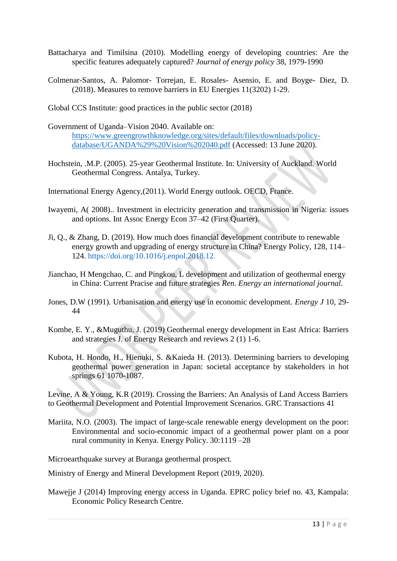- Battacharya and Timilsina (2010). Modelling energy of developing countries: Are the specific features adequately captured? *Journal of energy policy* 38, 1979-1990
- Colmenar-Santos, A. Palomor- Torrejan, E. Rosales- Asensio, E. and Boyge- Diez, D. (2018). Measures to remove barriers in EU Energies 11(3202) 1-29.
- Global CCS Institute: good practices in the public sector (2018)
- Government of Uganda–Vision 2040. Available on: [https://www.greengrowthknowledge.org/sites/default/files/downloads/policy](https://www.greengrowthknowledge.org/sites/default/files/downloads/policy-database/UGANDA%29%20Vision%202040.pdf)[database/UGANDA%29%20Vision%202040.pdf](https://www.greengrowthknowledge.org/sites/default/files/downloads/policy-database/UGANDA%29%20Vision%202040.pdf) (Accessed: 13 June 2020).
- Hochstein, .M.P. (2005). 25-year Geothermal Institute. In: University of Auckland. World Geothermal Congress. Antalya, Turkey.
- International Energy Agency,(2011). World Energy outlook. OECD, France.
- Iwayemi, A( 2008).. Investment in electricity generation and transmission in Nigeria: issues and options. Int Assoc Energy Econ 37–42 (First Quarter).
- Ji, Q., & Zhang, D. (2019). How much does financial development contribute to renewable energy growth and upgrading of energy structure in China? Energy Policy, 128, 114– 124. [https://doi.org/10.1016/j.enpol.2018.12.](https://doi.org/10.1016/j.enpol.2018.12)
- Jianchao, H Mengchao, C. and Pingkou, L development and utilization of geothermal energy in China: Current Pracise and future strategies *Ren. Energy an international journal*.
- Jones, D.W (1991). Urbanisation and energy use in economic development. *Energy J* 10, 29- 44
- Kombe, E. Y., &Muguthu, J. (2019) Geothermal energy development in East Africa: Barriers and strategies J. of Energy Research and reviews 2 (1) 1-6.
- Kubota, H. Hondo, H., Hienuki, S. &Kaieda H. (2013). Determining barriers to developing geothermal power generation in Japan: societal acceptance by stakeholders in hot springs 61 1070-1087.

Levine, A & Young, K.R (2019). Crossing the Barriers: An Analysis of Land Access Barriers to Geothermal Development and Potential Improvement Scenarios. GRC Transactions 41

Mariita, N.O. (2003). The impact of large-scale renewable energy development on the poor: Environmental and socio-economic impact of a geothermal power plant on a poor rural community in Kenya. Energy Policy. 30:1119 –28

Microearthquake survey at Buranga geothermal prospect.

Ministry of Energy and Mineral Development Report (2019, 2020).

Mawejje J (2014) Improving energy access in Uganda. EPRC policy brief no. 43, Kampala: Economic Policy Research Centre.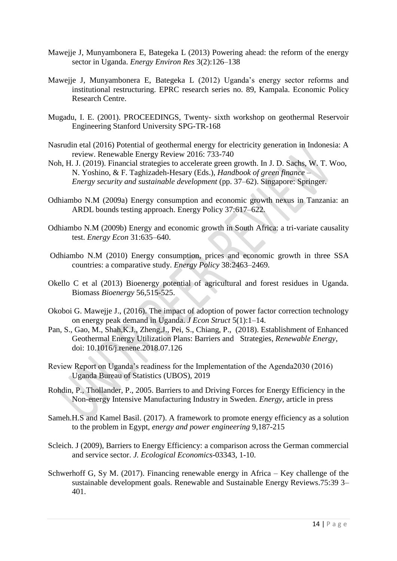- Mawejje J, Munyambonera E, Bategeka L (2013) Powering ahead: the reform of the energy sector in Uganda. *Energy Environ Res* 3(2):126–138
- Mawejje J, Munyambonera E, Bategeka L (2012) Uganda's energy sector reforms and institutional restructuring. EPRC research series no. 89, Kampala. Economic Policy Research Centre.
- Mugadu, I. E. (2001). PROCEEDINGS, Twenty- sixth workshop on geothermal Reservoir Engineering Stanford University SPG-TR-168
- Nasrudin etal (2016) Potential of geothermal energy for electricity generation in Indonesia: A review. Renewable Energy Review 2016: 733-740
- Noh, H. J. (2019). Financial strategies to accelerate green growth. In J. D. Sachs, W. T. Woo, N. Yoshino, & F. Taghizadeh-Hesary (Eds.), *Handbook of green finance – Energy security and sustainable development* (pp. 37–62). Singapore: Springer.
- Odhiambo N.M (2009a) Energy consumption and economic growth nexus in Tanzania: an ARDL bounds testing approach. Energy Policy 37:617–622.
- Odhiambo N.M (2009b) Energy and economic growth in South Africa: a tri-variate causality test. *Energy Econ* 31:635–640.
- Odhiambo N.M (2010) Energy consumption, prices and economic growth in three SSA countries: a comparative study. *Energy Policy* 38:2463–2469.
- Okello C et al (2013) Bioenergy potential of agricultural and forest residues in Uganda. Biomass *Bioenergy* 56,515-525.
- Okoboi G. Mawejje J., (2016). The impact of adoption of power factor correction technology on energy peak demand in Uganda. *J Econ Struct* 5(1):1–14.
- Pan, S., Gao, M., Shah,K.J., Zheng,J., Pei, S., Chiang, P., (2018). Establishment of Enhanced Geothermal Energy Utilization Plans: Barriers and Strategies, *Renewable Energy*, doi: 10.1016/j.renene.2018.07.126
- Review Report on Uganda's readiness for the Implementation of the Agenda2030 (2016) Uganda Bureau of Statistics (UBOS), 2019
- Rohdin, P., Thollander, P., 2005. Barriers to and Driving Forces for Energy Efficiency in the Non-energy Intensive Manufacturing Industry in Sweden. *Energy,* article in press
- Sameh.H.S and Kamel Basil. (2017). A framework to promote energy efficiency as a solution to the problem in Egypt, *energy and power engineering* 9,187-215
- Scleich. J (2009), Barriers to Energy Efficiency: a comparison across the German commercial and service sector. *J. Ecological Economics*-03343, 1-10.
- Schwerhoff G, Sy M. (2017). Financing renewable energy in Africa Key challenge of the sustainable development goals. Renewable and Sustainable Energy Reviews.75:39 3– 401.